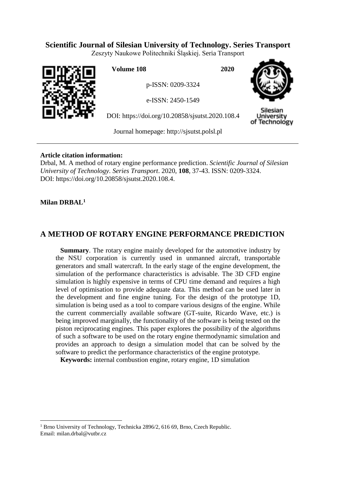# **Scientific Journal of Silesian University of Technology. Series Transport**

Zeszyty Naukowe Politechniki Śląskiej. Seria Transport



**Volume 108 2020**

p-ISSN: 0209-3324

e-ISSN: 2450-1549

DOI: https://doi.org/10.20858/sjsutst.2020.108.4



Silesiar Jniversity of Technology

Journal homepage: [http://sjsutst.polsl.pl](http://sjsutst.polsl.pl/)

## **Article citation information:**

Drbal, M. A method of rotary engine performance prediction. *Scientific Journal of Silesian University of Technology. Series Transport*. 2020, **108**, 37-43. ISSN: 0209-3324. DOI: https://doi.org/10.20858/sjsutst.2020.108.4.

# **Milan DRBAL<sup>1</sup>**

 $\overline{a}$ 

# **A METHOD OF ROTARY ENGINE PERFORMANCE PREDICTION**

**Summary**. The rotary engine mainly developed for the automotive industry by the NSU corporation is currently used in unmanned aircraft, transportable generators and small watercraft. In the early stage of the engine development, the simulation of the performance characteristics is advisable. The 3D CFD engine simulation is highly expensive in terms of CPU time demand and requires a high level of optimisation to provide adequate data. This method can be used later in the development and fine engine tuning. For the design of the prototype 1D, simulation is being used as a tool to compare various designs of the engine. While the current commercially available software (GT-suite, Ricardo Wave, etc.) is being improved marginally, the functionality of the software is being tested on the piston reciprocating engines. This paper explores the possibility of the algorithms of such a software to be used on the rotary engine thermodynamic simulation and provides an approach to design a simulation model that can be solved by the software to predict the performance characteristics of the engine prototype.

**Keywords:** internal combustion engine, rotary engine, 1D simulation

<sup>1</sup> Brno University of Technology, Technicka 2896/2, 616 69, Brno, Czech Republic. Email: milan.drbal@vutbr.cz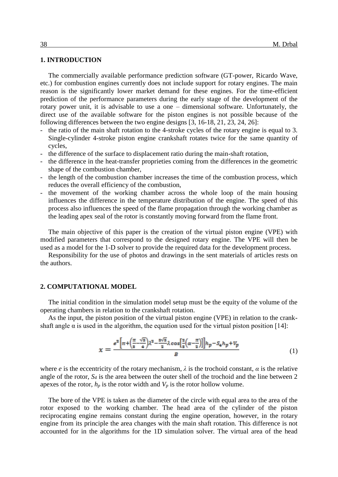### **1. INTRODUCTION**

The commercially available performance prediction software (GT-power, Ricardo Wave, etc.) for combustion engines currently does not include support for rotary engines. The main reason is the significantly lower market demand for these engines. For the time-efficient prediction of the performance parameters during the early stage of the development of the rotary power unit, it is advisable to use a one – dimensional software. Unfortunately, the direct use of the available software for the piston engines is not possible because of the following differences between the two engine designs [3, 16-18, 21, 23, 24, 26]:

- the ratio of the main shaft rotation to the 4-stroke cycles of the rotary engine is equal to 3. Single-cylinder 4-stroke piston engine crankshaft rotates twice for the same quantity of cycles,
- the difference of the surface to displacement ratio during the main-shaft rotation,
- the difference in the heat-transfer proprieties coming from the differences in the geometric shape of the combustion chamber,
- the length of the combustion chamber increases the time of the combustion process, which reduces the overall efficiency of the combustion,
- the movement of the working chamber across the whole loop of the main housing influences the difference in the temperature distribution of the engine. The speed of this process also influences the speed of the flame propagation through the working chamber as the leading apex seal of the rotor is constantly moving forward from the flame front.

The main objective of this paper is the creation of the virtual piston engine (VPE) with modified parameters that correspond to the designed rotary engine. The VPE will then be used as a model for the 1-D solver to provide the required data for the development process.

Responsibility for the use of photos and drawings in the sent materials of articles rests on the authors.

#### **2. COMPUTATIONAL MODEL**

The initial condition in the simulation model setup must be the equity of the volume of the operating chambers in relation to the crankshaft rotation.

As the input, the piston position of the virtual piston engine (VPE) in relation to the crankshaft angle  $\alpha$  is used in the algorithm, the equation used for the virtual piston position [14]:

$$
x = \frac{e^2 \left[\pi + \left(\frac{\pi}{s} - \frac{\sqrt{s}}{4}\right)\lambda^2 - \frac{s\sqrt{s}}{2}\lambda \cos\left[\frac{2}{s}\left(\alpha - \frac{\pi}{2}\right)\right]\right]h_p - S_4 h_p + V_p}{B} \tag{1}
$$

where *e* is the eccentricity of the rotary mechanism,  $\lambda$  is the trochoid constant,  $\alpha$  is the relative angle of the rotor, *S<sup>4</sup>* is the area between the outer shell of the trochoid and the line between 2 apexes of the rotor,  $h_p$  is the rotor width and  $V_p$  is the rotor hollow volume.

The bore of the VPE is taken as the diameter of the circle with equal area to the area of the rotor exposed to the working chamber. The head area of the cylinder of the piston reciprocating engine remains constant during the engine operation, however, in the rotary engine from its principle the area changes with the main shaft rotation. This difference is not accounted for in the algorithms for the 1D simulation solver. The virtual area of the head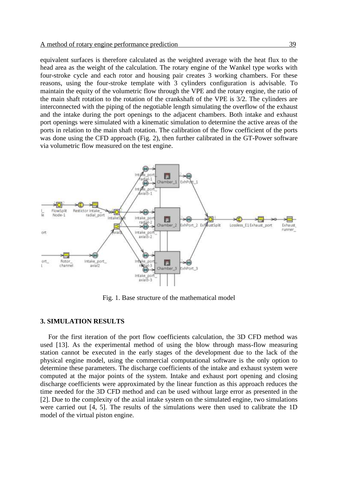equivalent surfaces is therefore calculated as the weighted average with the heat flux to the head area as the weight of the calculation. The rotary engine of the Wankel type works with four-stroke cycle and each rotor and housing pair creates 3 working chambers. For these reasons, using the four-stroke template with 3 cylinders configuration is advisable. To maintain the equity of the volumetric flow through the VPE and the rotary engine, the ratio of the main shaft rotation to the rotation of the crankshaft of the VPE is 3/2. The cylinders are interconnected with the piping of the negotiable length simulating the overflow of the exhaust and the intake during the port openings to the adjacent chambers. Both intake and exhaust port openings were simulated with a kinematic simulation to determine the active areas of the ports in relation to the main shaft rotation. The calibration of the flow coefficient of the ports was done using the CFD approach (Fig. 2), then further calibrated in the GT-Power software via volumetric flow measured on the test engine.



Fig. 1. Base structure of the mathematical model

#### **3. SIMULATION RESULTS**

For the first iteration of the port flow coefficients calculation, the 3D CFD method was used [13]. As the experimental method of using the blow through mass-flow measuring station cannot be executed in the early stages of the development due to the lack of the physical engine model, using the commercial computational software is the only option to determine these parameters. The discharge coefficients of the intake and exhaust system were computed at the major points of the system. Intake and exhaust port opening and closing discharge coefficients were approximated by the linear function as this approach reduces the time needed for the 3D CFD method and can be used without large error as presented in the [2]. Due to the complexity of the axial intake system on the simulated engine, two simulations were carried out [4, 5]. The results of the simulations were then used to calibrate the 1D model of the virtual piston engine.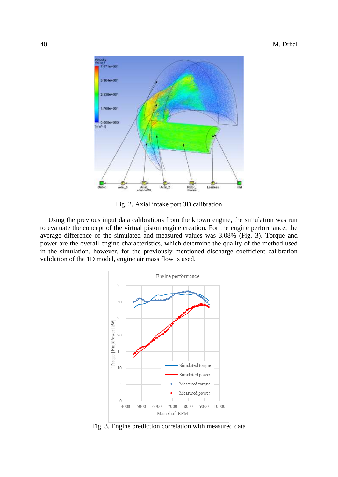

Fig. 2. Axial intake port 3D calibration

Using the previous input data calibrations from the known engine, the simulation was run to evaluate the concept of the virtual piston engine creation. For the engine performance, the average difference of the simulated and measured values was 3.08% (Fig. 3). Torque and power are the overall engine characteristics, which determine the quality of the method used in the simulation, however, for the previously mentioned discharge coefficient calibration validation of the 1D model, engine air mass flow is used.



Fig. 3. Engine prediction correlation with measured data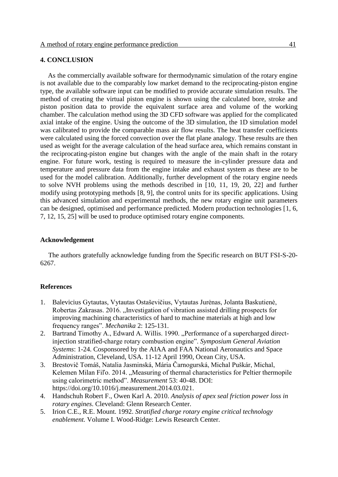## **4. CONCLUSION**

As the commercially available software for thermodynamic simulation of the rotary engine is not available due to the comparably low market demand to the reciprocating-piston engine type, the available software input can be modified to provide accurate simulation results. The method of creating the virtual piston engine is shown using the calculated bore, stroke and piston position data to provide the equivalent surface area and volume of the working chamber. The calculation method using the 3D CFD software was applied for the complicated axial intake of the engine. Using the outcome of the 3D simulation, the 1D simulation model was calibrated to provide the comparable mass air flow results. The heat transfer coefficients were calculated using the forced convection over the flat plane analogy. These results are then used as weight for the average calculation of the head surface area, which remains constant in the reciprocating-piston engine but changes with the angle of the main shaft in the rotary engine. For future work, testing is required to measure the in-cylinder pressure data and temperature and pressure data from the engine intake and exhaust system as these are to be used for the model calibration. Additionally, further development of the rotary engine needs to solve NVH problems using the methods described in [10, 11, 19, 20, 22] and further modify using prototyping methods [8, 9], the control units for its specific applications. Using this advanced simulation and experimental methods, the new rotary engine unit parameters can be designed, optimised and performance predicted. Modern production technologies [1, 6, 7, 12, 15, 25] will be used to produce optimised rotary engine components.

#### **Acknowledgement**

The authors gratefully acknowledge funding from the Specific research on BUT FSI-S-20- 6267.

#### **References**

- 1. Balevicius Gytautas, Vytautas Ostaševičius, Vytautas Jurėnas, Jolanta Baskutienė, Robertas Zakrasas. 2016. "Investigation of vibration assisted drilling prospects for improving machining characteristics of hard to machine materials at high and low frequency ranges". *Mechanika* 2: 125-131.
- 2. Bartrand Timothy A., Edward A. Willis. 1990. "Performance of a supercharged directinjection stratified-charge rotary combustion engine". *Symposium General Aviation Systems*: 1-24. Cosponsored by the AIAA and FAA National Aeronautics and Space Administration, Cleveland, USA. 11-12 April 1990, Ocean City, USA.
- 3. Brestovič Tomáš, Natalia Jasminská, Mária Čarnogurská, Michal Puškár, Michal, Kelemen Milan Fil'o. 2014. "Measuring of thermal characteristics for Peltier thermopile using calorimetric method". *Measurement* 53: 40-48. DOI: https://doi.org/10.1016/j.measurement.2014.03.021.
- 4. Handschuh Robert F., Owen Karl A. 2010. *Analysis of apex seal friction power loss in rotary engines*. Cleveland: Glenn Research Center.
- 5. Irion C.E., R.E. Mount. 1992. *Stratified charge rotary engine critical technology enablement.* Volume I. Wood-Ridge: Lewis Research Center.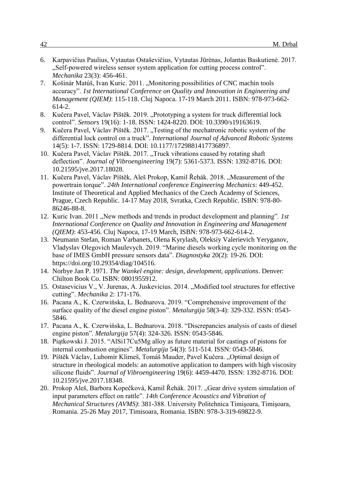- 6. Karpavičius Paulius, Vytautas Ostaševičius, Vytautas Jūrėnas, Jolantas Baskutienė. 2017. "Self-powered wireless sensor system application for cutting process control". *Mechanika* 23(3): 456-461.
- 7. Košinár Matúš, Ivan Kuric. 2011. "Monitoring possibilities of CNC machin tools accuracy". *1st International Conference on Quality and Innovation in Engineering and Management (QIEM)*: 115-118. Cluj Napoca. 17-19 March 2011. ISBN: 978-973-662- 614-2.
- 8. Kučera Pavel, Václav Píštěk. 2019. "Prototyping a system for truck differential lock control". *Sensors* 19(16): 1-18. ISSN: 1424-8220. DOI: 10.3390/s19163619.
- 9. Kučera Pavel, Václav Píštěk. 2017. "Testing of the mechatronic robotic system of the differential lock control on a truck". *International Journal of Advanced Robotic Systems* 14(5): 1-7. ISSN: 1729-8814. DOI: 10.1177/1729881417736897.
- 10. Kučera Pavel, Václav Píštěk. 2017. "Truck vibrations caused by rotating shaft deflection". *Journal of Vibroengineering* 19(7): 5361-5373. ISSN: 1392-8716. DOI: 10.21595/jve.2017.18028.
- 11. Kučera Pavel, Václav Píštěk, Aleš Prokop, Kamil Řehák. 2018. "Measurement of the powertrain torque". *24th International conference Engineering Mechanics*: 449-452. Institute of Theoretical and Applied Mechanics of the Czech Academy of Sciences, Prague, Czech Republic. 14-17 May 2018, Svratka, Czech Republic. ISBN: 978-80- 86246-88-8.
- 12. Kuric Ivan. 2011 "New methods and trends in product development and planning". *1st International Conference on Quality and Innovation in Engineering and Management (QIEM)*: 453-456. Cluj Napoca, 17-19 March, ISBN: 978-973-662-614-2.
- 13. Neumann Stefan, Roman Varbanets, Olena Kyrylash, Oleksiy Valerievich Yeryganov, Vladyslav Olegovich Maulevych. 2019. "Marine diesels working cycle monitoring on the base of IMES GmbH pressure sensors data". *Diagnostyka* 20(2): 19-26. DOI: https://doi.org/10.29354/diag/104516.
- 14. Norbye Jan P. 1971. *The Wankel engine: design, development, applications*. Denver: Chilton Book Co. ISBN: 0801955912.
- 15. Ostasevicius V., V. Jurenas, A. Juskevicius. 2014. "Modified tool structures for effective cutting". *Mechanika* 2: 171-176.
- 16. Pacana A., K. Czerwińska, L. Bednarova. 2019. "Comprehensive improvement of the surface quality of the diesel engine piston". *Metalurgija* 58(3-4): 329-332. ISSN: 0543- 5846.
- 17. Pacana A., K. Czerwińska, L. Bednarova. 2018. "Discrepancies analysis of casts of diesel engine piston". *Metalurgija* 57(4): 324-326. ISSN: 0543-5846.
- 18. Piątkowski J. 2015. "AlSi17Cu5Mg alloy as future material for castings of pistons for internal combustion engines". *Metalurgija* 54(3): 511-514. ISSN: 0543-5846.
- 19. Píštěk Václav, Lubomír Klimeš, Tomáš Mauder, Pavel Kučera. "Optimal design of structure in rheological models: an automotive application to dampers with high viscosity silicone fluids". *Journal of Vibroengineering* 19(6): 4459-4470. ISSN: 1392-8716. DOI: 10.21595/jve.2017.18348.
- 20. Prokop Aleš, Barbora Kopečková, Kamil Řehák. 2017. "Gear drive system simulation of input parameters effect on rattle". *14th Conference Acoustics and Vibration of Mechanical Structures (AVMS)*: 381-388. University Politehnica Timişoara, Timişoara, Romania. 25-26 May 2017, Timisoara, Romania. ISBN: 978-3-319-69822-9.